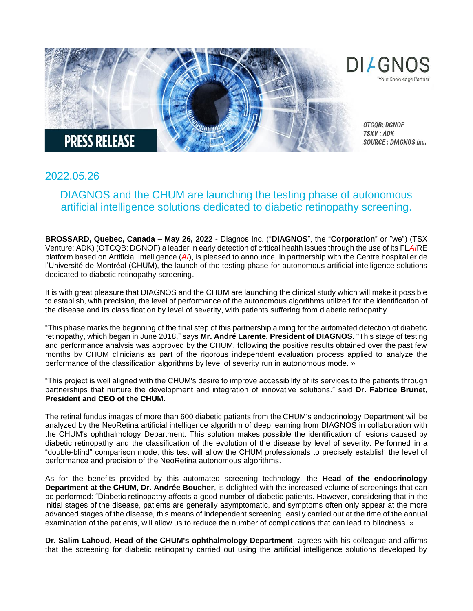

## 2022.05.26

## DIAGNOS and the CHUM are launching the testing phase of autonomous artificial intelligence solutions dedicated to diabetic retinopathy screening.

**BROSSARD, Quebec, Canada – May 26, 2022** - Diagnos Inc. ("**DIAGNOS**", the "**Corporation**" or "we") (TSX Venture: ADK) (OTCQB: DGNOF) a leader in early detection of critical health issues through the use of its FL*AI*RE platform based on Artificial Intelligence (*AI*), is pleased to announce, in partnership with the Centre hospitalier de l'Université de Montréal (CHUM), the launch of the testing phase for autonomous artificial intelligence solutions dedicated to diabetic retinopathy screening.

It is with great pleasure that DIAGNOS and the CHUM are launching the clinical study which will make it possible to establish, with precision, the level of performance of the autonomous algorithms utilized for the identification of the disease and its classification by level of severity, with patients suffering from diabetic retinopathy.

"This phase marks the beginning of the final step of this partnership aiming for the automated detection of diabetic retinopathy, which began in June 2018," says **Mr. André Larente, President of DIAGNOS.** "This stage of testing and performance analysis was approved by the CHUM, following the positive results obtained over the past few months by CHUM clinicians as part of the rigorous independent evaluation process applied to analyze the performance of the classification algorithms by level of severity run in autonomous mode. »

"This project is well aligned with the CHUM's desire to improve accessibility of its services to the patients through partnerships that nurture the development and integration of innovative solutions." said **Dr. Fabrice Brunet, President and CEO of the CHUM**.

The retinal fundus images of more than 600 diabetic patients from the CHUM's endocrinology Department will be analyzed by the NeoRetina artificial intelligence algorithm of deep learning from DIAGNOS in collaboration with the CHUM's ophthalmology Department. This solution makes possible the identification of lesions caused by diabetic retinopathy and the classification of the evolution of the disease by level of severity. Performed in a "double-blind" comparison mode, this test will allow the CHUM professionals to precisely establish the level of performance and precision of the NeoRetina autonomous algorithms.

As for the benefits provided by this automated screening technology, the **Head of the endocrinology Department at the CHUM, Dr. Andrée Boucher**, is delighted with the increased volume of screenings that can be performed: "Diabetic retinopathy affects a good number of diabetic patients. However, considering that in the initial stages of the disease, patients are generally asymptomatic, and symptoms often only appear at the more advanced stages of the disease, this means of independent screening, easily carried out at the time of the annual examination of the patients, will allow us to reduce the number of complications that can lead to blindness. »

**Dr. Salim Lahoud, Head of the CHUM's ophthalmology Department**, agrees with his colleague and affirms that the screening for diabetic retinopathy carried out using the artificial intelligence solutions developed by